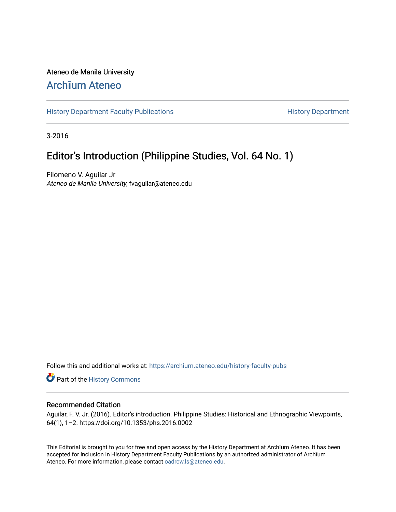### Ateneo de Manila University

## Arch**ī**[um Ateneo](https://archium.ateneo.edu/)

[History Department Faculty Publications](https://archium.ateneo.edu/history-faculty-pubs) **History Department** History Department

3-2016

## Editor's Introduction (Philippine Studies, Vol. 64 No. 1)

Filomeno V. Aguilar Jr Ateneo de Manila University, fvaguilar@ateneo.edu

Follow this and additional works at: [https://archium.ateneo.edu/history-faculty-pubs](https://archium.ateneo.edu/history-faculty-pubs?utm_source=archium.ateneo.edu%2Fhistory-faculty-pubs%2F68&utm_medium=PDF&utm_campaign=PDFCoverPages)

Part of the [History Commons](http://network.bepress.com/hgg/discipline/489?utm_source=archium.ateneo.edu%2Fhistory-faculty-pubs%2F68&utm_medium=PDF&utm_campaign=PDFCoverPages) 

#### Recommended Citation

Aguilar, F. V. Jr. (2016). Editor's introduction. Philippine Studies: Historical and Ethnographic Viewpoints, 64(1), 1–2. https://doi.org/10.1353/phs.2016.0002

This Editorial is brought to you for free and open access by the History Department at Archīum Ateneo. It has been accepted for inclusion in History Department Faculty Publications by an authorized administrator of Archīum Ateneo. For more information, please contact [oadrcw.ls@ateneo.edu.](mailto:oadrcw.ls@ateneo.edu)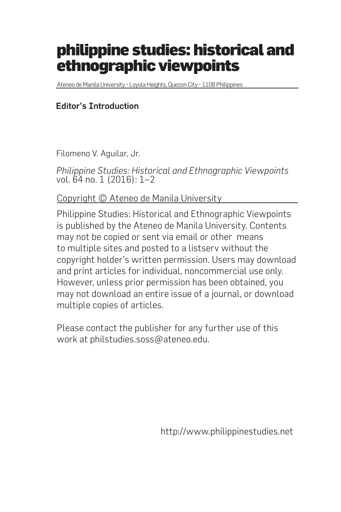# philippine studies: historical and ethnographic viewpoints

Ateneo de Manila University • Loyola Heights, Quezon City • 1108 Philippines

### Editor's Introduction

Filomeno V. Aguilar, Jr.

*Philippine Studies: Historical and Ethnographic Viewpoints* vol. 64 no. 1 (2016): 1–2

Copyright © Ateneo de Manila University

Philippine Studies: Historical and Ethnographic Viewpoints is published by the Ateneo de Manila University. Contents may not be copied or sent via email or other means to multiple sites and posted to a listserv without the copyright holder's written permission. Users may download and print articles for individual, noncommercial use only. However, unless prior permission has been obtained, you may not download an entire issue of a journal, or download multiple copies of articles.

Please contact the publisher for any further use of this work at philstudies.soss@ateneo.edu.

http://www.philippinestudies.net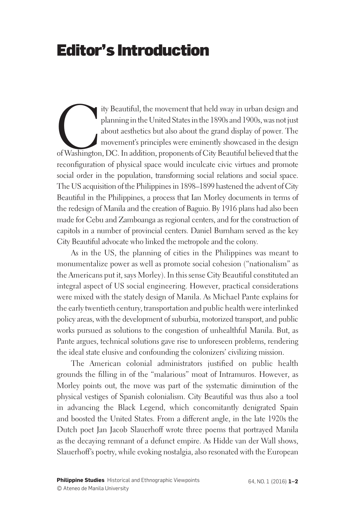# Editor's Introduction

ity Beautiful, the movement that held sway in urban design and planning in the United States in the 1890s and 1900s, was not just about aesthetics but also about the grand display of power. The movement's principles were e planning in the United States in the 1890s and 1900s, was not just about aesthetics but also about the grand display of power. The movement's principles were eminently showcased in the design of Washington, DC. In addition, proponents of City Beautiful believed that the reconfiguration of physical space would inculcate civic virtues and promote social order in the population, transforming social relations and social space. The US acquisition of the Philippines in 1898–1899 hastened the advent of City Beautiful in the Philippines, a process that Ian Morley documents in terms of the redesign of Manila and the creation of Baguio. By 1916 plans had also been made for Cebu and Zamboanga as regional centers, and for the construction of capitols in a number of provincial centers. Daniel Burnham served as the key City Beautiful advocate who linked the metropole and the colony.

As in the US, the planning of cities in the Philippines was meant to monumentalize power as well as promote social cohesion ("nationalism" as the Americans put it, says Morley). In this sense City Beautiful constituted an integral aspect of US social engineering. However, practical considerations were mixed with the stately design of Manila. As Michael Pante explains for the early twentieth century, transportation and public health were interlinked policy areas, with the development of suburbia, motorized transport, and public works pursued as solutions to the congestion of unhealthful Manila. But, as Pante argues, technical solutions gave rise to unforeseen problems, rendering the ideal state elusive and confounding the colonizers' civilizing mission.

The American colonial administrators justified on public health grounds the filling in of the "malarious" moat of Intramuros. However, as Morley points out, the move was part of the systematic diminution of the physical vestiges of Spanish colonialism. City Beautiful was thus also a tool in advancing the Black Legend, which concomitantly denigrated Spain and boosted the United States. From a different angle, in the late 1920s the Dutch poet Jan Jacob Slauerhoff wrote three poems that portrayed Manila as the decaying remnant of a defunct empire. As Hidde van der Wall shows, Slauerhoff's poetry, while evoking nostalgia, also resonated with the European